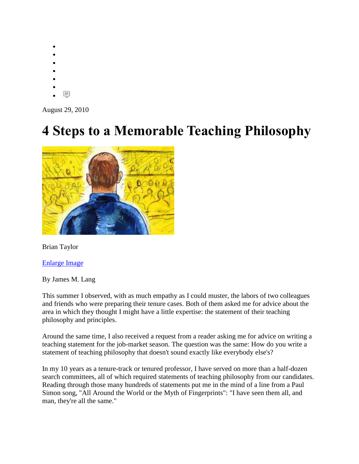- $\bullet$
- $\bullet$
- $\bullet$
- $\bullet$
- $\bullet$  $\bullet$
- 圓  $\bullet$

August 29, 2010

## **4 Steps to a Memorable Teaching Philosophy**



Brian Taylor

[Enlarge Image](http://chronicle.com/article/4-Steps-to-a-Memorable/124199/)

By James M. Lang

This summer I observed, with as much empathy as I could muster, the labors of two colleagues and friends who were preparing their tenure cases. Both of them asked me for advice about the area in which they thought I might have a little expertise: the statement of their teaching philosophy and principles.

Around the same time, I also received a request from a reader asking me for advice on writing a teaching statement for the job-market season. The question was the same: How do you write a statement of teaching philosophy that doesn't sound exactly like everybody else's?

In my 10 years as a tenure-track or tenured professor, I have served on more than a half-dozen search committees, all of which required statements of teaching philosophy from our candidates. Reading through those many hundreds of statements put me in the mind of a line from a Paul Simon song, "All Around the World or the Myth of Fingerprints": "I have seen them all, and man, they're all the same."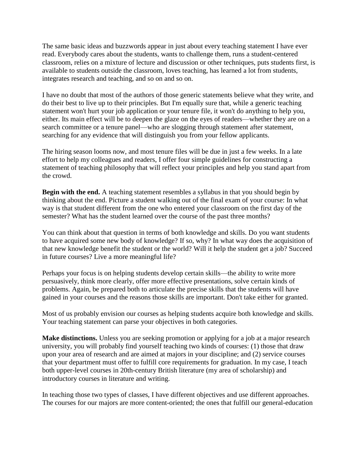The same basic ideas and buzzwords appear in just about every teaching statement I have ever read. Everybody cares about the students, wants to challenge them, runs a student-centered classroom, relies on a mixture of lecture and discussion or other techniques, puts students first, is available to students outside the classroom, loves teaching, has learned a lot from students, integrates research and teaching, and so on and so on.

I have no doubt that most of the authors of those generic statements believe what they write, and do their best to live up to their principles. But I'm equally sure that, while a generic teaching statement won't hurt your job application or your tenure file, it won't do anything to help you, either. Its main effect will be to deepen the glaze on the eyes of readers—whether they are on a search committee or a tenure panel—who are slogging through statement after statement, searching for any evidence that will distinguish you from your fellow applicants.

The hiring season looms now, and most tenure files will be due in just a few weeks. In a late effort to help my colleagues and readers, I offer four simple guidelines for constructing a statement of teaching philosophy that will reflect your principles and help you stand apart from the crowd.

**Begin with the end.** A teaching statement resembles a syllabus in that you should begin by thinking about the end. Picture a student walking out of the final exam of your course: In what way is that student different from the one who entered your classroom on the first day of the semester? What has the student learned over the course of the past three months?

You can think about that question in terms of both knowledge and skills. Do you want students to have acquired some new body of knowledge? If so, why? In what way does the acquisition of that new knowledge benefit the student or the world? Will it help the student get a job? Succeed in future courses? Live a more meaningful life?

Perhaps your focus is on helping students develop certain skills—the ability to write more persuasively, think more clearly, offer more effective presentations, solve certain kinds of problems. Again, be prepared both to articulate the precise skills that the students will have gained in your courses and the reasons those skills are important. Don't take either for granted.

Most of us probably envision our courses as helping students acquire both knowledge and skills. Your teaching statement can parse your objectives in both categories.

**Make distinctions.** Unless you are seeking promotion or applying for a job at a major research university, you will probably find yourself teaching two kinds of courses: (1) those that draw upon your area of research and are aimed at majors in your discipline; and (2) service courses that your department must offer to fulfill core requirements for graduation. In my case, I teach both upper-level courses in 20th-century British literature (my area of scholarship) and introductory courses in literature and writing.

In teaching those two types of classes, I have different objectives and use different approaches. The courses for our majors are more content-oriented; the ones that fulfill our general-education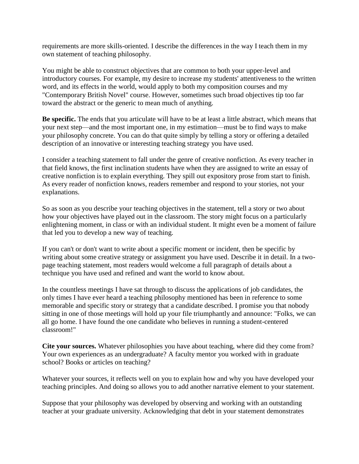requirements are more skills-oriented. I describe the differences in the way I teach them in my own statement of teaching philosophy.

You might be able to construct objectives that are common to both your upper-level and introductory courses. For example, my desire to increase my students' attentiveness to the written word, and its effects in the world, would apply to both my composition courses and my "Contemporary British Novel" course. However, sometimes such broad objectives tip too far toward the abstract or the generic to mean much of anything.

**Be specific.** The ends that you articulate will have to be at least a little abstract, which means that your next step—and the most important one, in my estimation—must be to find ways to make your philosophy concrete. You can do that quite simply by telling a story or offering a detailed description of an innovative or interesting teaching strategy you have used.

I consider a teaching statement to fall under the genre of creative nonfiction. As every teacher in that field knows, the first inclination students have when they are assigned to write an essay of creative nonfiction is to explain everything. They spill out expository prose from start to finish. As every reader of nonfiction knows, readers remember and respond to your stories, not your explanations.

So as soon as you describe your teaching objectives in the statement, tell a story or two about how your objectives have played out in the classroom. The story might focus on a particularly enlightening moment, in class or with an individual student. It might even be a moment of failure that led you to develop a new way of teaching.

If you can't or don't want to write about a specific moment or incident, then be specific by writing about some creative strategy or assignment you have used. Describe it in detail. In a twopage teaching statement, most readers would welcome a full paragraph of details about a technique you have used and refined and want the world to know about.

In the countless meetings I have sat through to discuss the applications of job candidates, the only times I have ever heard a teaching philosophy mentioned has been in reference to some memorable and specific story or strategy that a candidate described. I promise you that nobody sitting in one of those meetings will hold up your file triumphantly and announce: "Folks, we can all go home. I have found the one candidate who believes in running a student-centered classroom!"

**Cite your sources.** Whatever philosophies you have about teaching, where did they come from? Your own experiences as an undergraduate? A faculty mentor you worked with in graduate school? Books or articles on teaching?

Whatever your sources, it reflects well on you to explain how and why you have developed your teaching principles. And doing so allows you to add another narrative element to your statement.

Suppose that your philosophy was developed by observing and working with an outstanding teacher at your graduate university. Acknowledging that debt in your statement demonstrates